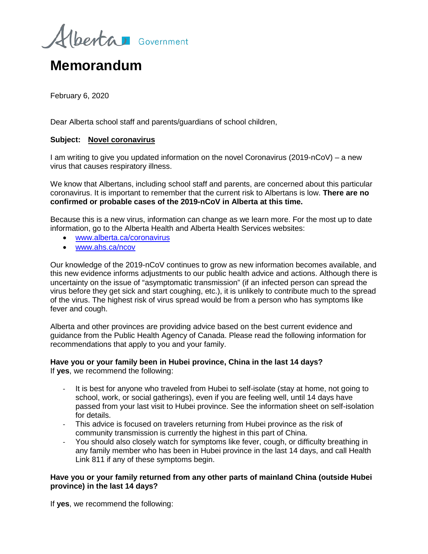berta Government

# **Memorandum**

February 6, 2020

Dear Alberta school staff and parents/guardians of school children,

## **Subject: Novel coronavirus**

I am writing to give you updated information on the novel Coronavirus (2019-nCoV) – a new virus that causes respiratory illness.

We know that Albertans, including school staff and parents, are concerned about this particular coronavirus. It is important to remember that the current risk to Albertans is low. **There are no confirmed or probable cases of the 2019-nCoV in Alberta at this time.** 

Because this is a new virus, information can change as we learn more. For the most up to date information, go to the Alberta Health and Alberta Health Services websites:

- [www.alberta.ca/coronavirus](http://www.alberta.ca/coronavirus)
- [www.ahs.ca/ncov](http://www.ahs.ca/ncov)

Our knowledge of the 2019-nCoV continues to grow as new information becomes available, and this new evidence informs adjustments to our public health advice and actions. Although there is uncertainty on the issue of "asymptomatic transmission" (if an infected person can spread the virus before they get sick and start coughing, etc.), it is unlikely to contribute much to the spread of the virus. The highest risk of virus spread would be from a person who has symptoms like fever and cough.

Alberta and other provinces are providing advice based on the best current evidence and guidance from the Public Health Agency of Canada. Please read the following information for recommendations that apply to you and your family.

#### **Have you or your family been in Hubei province, China in the last 14 days?**  If **yes**, we recommend the following:

- It is best for anyone who traveled from Hubei to self-isolate (stay at home, not going to school, work, or social gatherings), even if you are feeling well, until 14 days have passed from your last visit to Hubei province. See the information sheet on self-isolation for details.
- This advice is focused on travelers returning from Hubei province as the risk of community transmission is currently the highest in this part of China.
- You should also closely watch for symptoms like fever, cough, or difficulty breathing in any family member who has been in Hubei province in the last 14 days, and call Health Link 811 if any of these symptoms begin.

## **Have you or your family returned from any other parts of mainland China (outside Hubei province) in the last 14 days?**

If **yes**, we recommend the following: